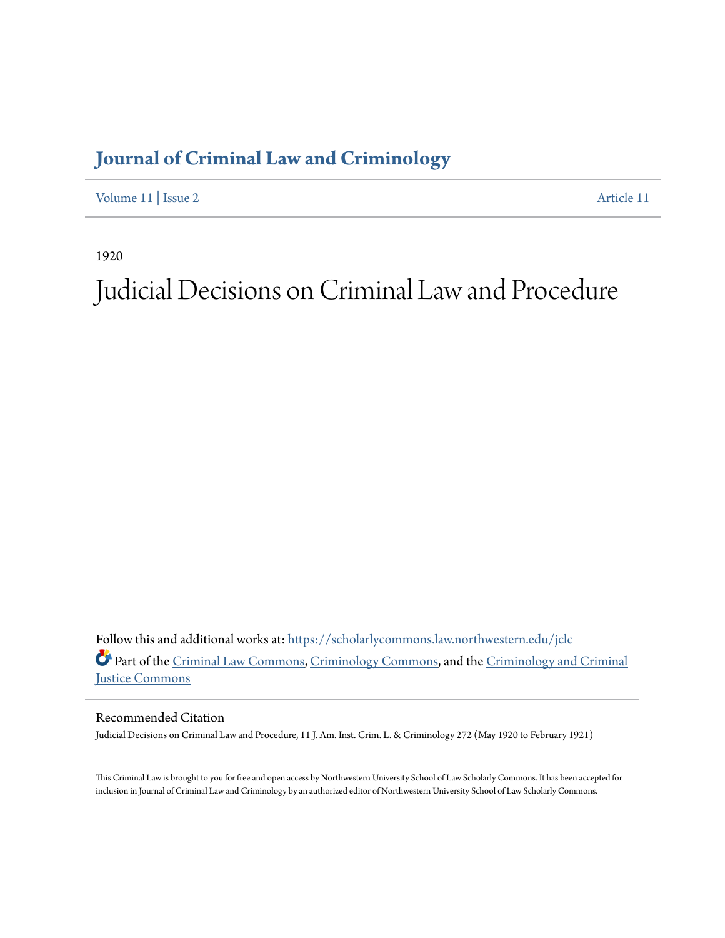## **[Journal of Criminal Law and Criminology](https://scholarlycommons.law.northwestern.edu/jclc?utm_source=scholarlycommons.law.northwestern.edu%2Fjclc%2Fvol11%2Fiss2%2F11&utm_medium=PDF&utm_campaign=PDFCoverPages)**

[Volume 11](https://scholarlycommons.law.northwestern.edu/jclc/vol11?utm_source=scholarlycommons.law.northwestern.edu%2Fjclc%2Fvol11%2Fiss2%2F11&utm_medium=PDF&utm_campaign=PDFCoverPages) | [Issue 2](https://scholarlycommons.law.northwestern.edu/jclc/vol11/iss2?utm_source=scholarlycommons.law.northwestern.edu%2Fjclc%2Fvol11%2Fiss2%2F11&utm_medium=PDF&utm_campaign=PDFCoverPages) [Article 11](https://scholarlycommons.law.northwestern.edu/jclc/vol11/iss2/11?utm_source=scholarlycommons.law.northwestern.edu%2Fjclc%2Fvol11%2Fiss2%2F11&utm_medium=PDF&utm_campaign=PDFCoverPages)

1920

# Judicial Decisions on Criminal Law and Procedure

Follow this and additional works at: [https://scholarlycommons.law.northwestern.edu/jclc](https://scholarlycommons.law.northwestern.edu/jclc?utm_source=scholarlycommons.law.northwestern.edu%2Fjclc%2Fvol11%2Fiss2%2F11&utm_medium=PDF&utm_campaign=PDFCoverPages) Part of the [Criminal Law Commons](http://network.bepress.com/hgg/discipline/912?utm_source=scholarlycommons.law.northwestern.edu%2Fjclc%2Fvol11%2Fiss2%2F11&utm_medium=PDF&utm_campaign=PDFCoverPages), [Criminology Commons](http://network.bepress.com/hgg/discipline/417?utm_source=scholarlycommons.law.northwestern.edu%2Fjclc%2Fvol11%2Fiss2%2F11&utm_medium=PDF&utm_campaign=PDFCoverPages), and the [Criminology and Criminal](http://network.bepress.com/hgg/discipline/367?utm_source=scholarlycommons.law.northwestern.edu%2Fjclc%2Fvol11%2Fiss2%2F11&utm_medium=PDF&utm_campaign=PDFCoverPages) [Justice Commons](http://network.bepress.com/hgg/discipline/367?utm_source=scholarlycommons.law.northwestern.edu%2Fjclc%2Fvol11%2Fiss2%2F11&utm_medium=PDF&utm_campaign=PDFCoverPages)

Recommended Citation

Judicial Decisions on Criminal Law and Procedure, 11 J. Am. Inst. Crim. L. & Criminology 272 (May 1920 to February 1921)

This Criminal Law is brought to you for free and open access by Northwestern University School of Law Scholarly Commons. It has been accepted for inclusion in Journal of Criminal Law and Criminology by an authorized editor of Northwestern University School of Law Scholarly Commons.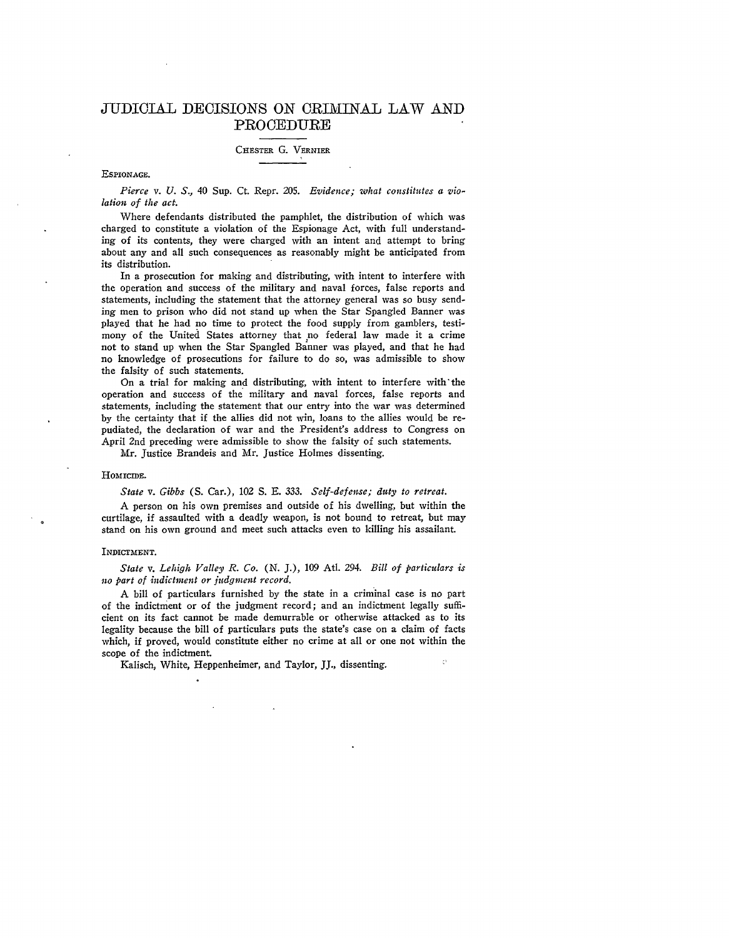### JUDICIAL DECISIONS ON CRIMINAL LAW **AND PROCEDURE**

#### **CHESTER** G. **VERNIER**

#### **ESPIONAGE.**

*Pierce v. U. S.,* 40 Sup. Ct. Repr. 205. *Evidence; what constitutes a violation of the act.*

Where defendants distributed the pamphlet, the distribution of which was charged to constitute a violation of the Espionage Act, with full understanding of its contents, they were charged with an intent and attempt to bring about any and all such consequences as reasonably might be anticipated from its distribution.

In a prosecution for making and distributing, with intent to interfere with the operation and success of the military and naval forces, false reports and statements, including the statement that the attorney general was so busy sending men to prison who did not stand up when the Star Spangled Banner was played that he had no time to protect the food supply from gamblers, testimony of the United States attorney that no federal law made it a crime not to stand up when the Star Spangled Banner was played, and that he had no knowledge of prosecutions for failure to do so, was admissible to show the falsity of such statements.

On a trial for making and distributing, with intent to interfere with'the operation and success of the military and naval forces, false reports and statements, including the statement that our entry into the war was determined **by** the certainty that if the allies did not win, loans to the allies would be repudiated, the declaration of war and the President's address to Congress on April 2nd preceding were admissible to show the falsity of such statements.

Mr. Justice Brandeis and Mr. Justice Holmes dissenting.

#### HOMICIDE.

*State v. Gibbs* **(S.** Car.), *102 S.* E. *333. Self-defense; duty to retreat.*

A person on his own premises and outside of his dwelling, but within the curtilage, if assaulted with a deadly weapon, is not bound to retreat, but may stand on his own ground and meet such attacks even to killing his assailant.

#### INDICTMENT.

*State v. Lehigh Valley R. Co.* **(N.** J.), 109 Atl. 294. *Bill of particulars is no part of indictment or judgment record.*

A bill of particulars furnished by the state in a criminal case is no part of the indictment or of the judgment record; and an indictment legally sufficient on its fact cannot be made demurrable or otherwise attacked as to its legality because the bill of particulars puts the state's case on a claim of facts which, if proved, would constitute either no crime at all or one not within the scope of the indictment.

Kalisch, White, Heppenheimer, and Taylor, *JJ.,* dissenting.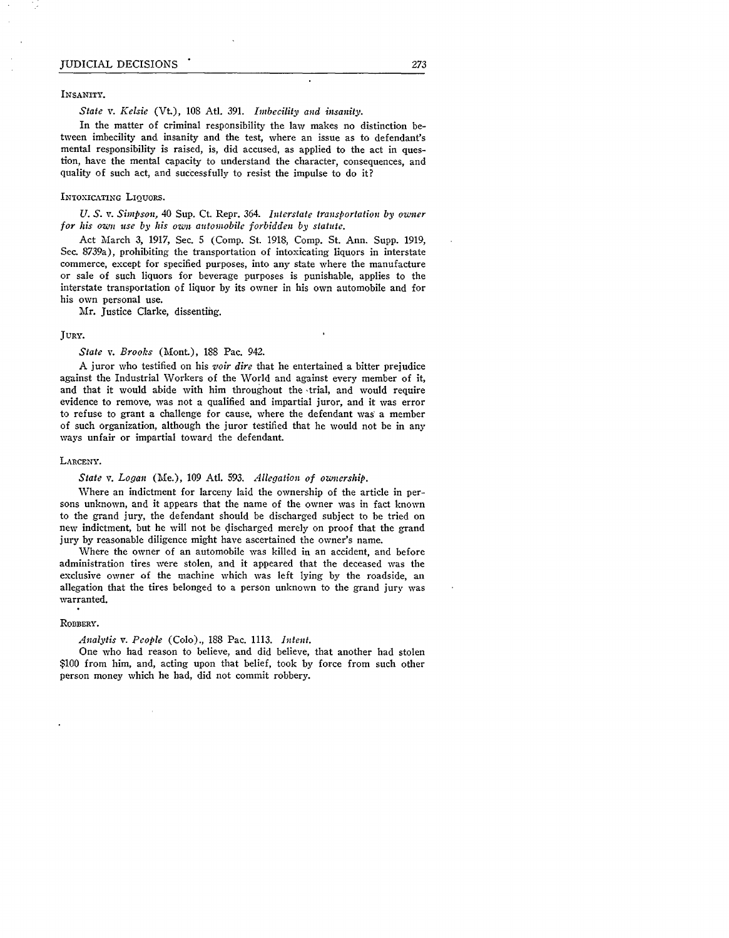INSANITY.

#### *State v. Kelsie* (Vt.), 108 Atl. 391. *Imbecility and insanity.*

In the matter of criminal responsibility the law makes no distinction between imbecility and insanity and the test, where an issue as to defendant's mental responsibility is raised, is, did accused, as applied to the act in question, have the mental capacity to understand the character, consequences, and quality of such act, and successfully to resist the impulse to do it?

#### INTOXICATING LIQUORS.

*U. S. v. Simpson,* 40 Sup. Ct. Repr. 364. *Interstate transportation by owner for his own use by his own automobile forbidden by statute.*

Act March 3, 1917, Sec. 5 (Comp. St. 1918, Comp. St. Ann. Supp. **1919,** Sec. 8739a), prohibiting the transportation of intoxicating liquors in interstate commerce, except for specified purposes, into any state where the manufacture or sale of such liquors for beverage purposes is punishable, applies to the interstate transportation of liquor by its owner in his own automobile and for his own personal use.

Mr. Justice Clarke, dissenting.

#### **JURY.**

#### *State v. Brooks* (Mont.), 188 Pac. 942.

A juror who testified on his *voir dire* that he entertained a bitter prejudice against the Industrial Workers of the World and against every member of it, and that it would abide with him throughout the trial, and would require evidence to remove, was not a qualified and impartial juror, and it was error to refuse to grant a challenge for cause, where the defendant was a member of such organization, although the juror testified that he would not be in any ways unfair or impartial toward the defendant.

#### LARCENY.

#### *State v. Logan* (Me.), 109 At. **593.** *Allegation of oznership.*

Where an indictment for larceny laid the ownership of the article in persons unknown, and it appears that the name of the owner was in fact known to the grand jury, the defendant should be discharged subject to be tried on new indictment, but he will not be discharged merely on proof that the grand jury by reasonable diligence might have ascertained the owner's name.

Where the owner of an automobile was killed in an accident, and before administration tires were stolen, and it appeared that the deceased was the exclusive owner of the machine which was left lying **by** the roadside, an allegation that the tires belonged to a person unknown to the grand jury was warranted.

#### **ROBBERY.**

#### *Analytis v. People* (Colo)., 188 Pac. **1113.** *Intent.*

One who had reason to believe, and did believe, that another had stolen \$100 from him, and, acting upon that belief, took by force from such other person money which he had, did not commit robbery.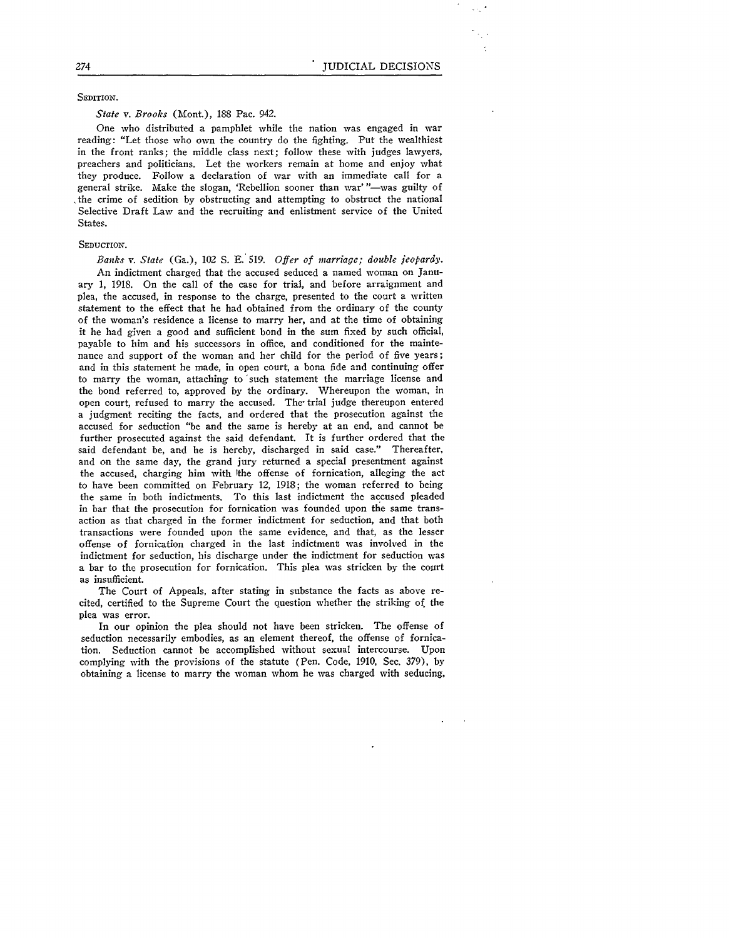SEDITION.

#### *State v. Brooks* (Mont.), 188 Pac. 942.

One who distributed a pamphlet while the nation was engaged in war reading: "Let those who own the country do the fighting. Put the wealthiest in the front ranks; the middle class next; follow these with judges lawyers, preachers and politicians. Let the workers remain at home and enjoy what they produce. Follow a declaration of war with an immediate call for a general strike. Make the slogan, 'Rebellion sooner than war' "-was guilty of the crime of sedition by obstructing and attempting to obstruct the national Selective Draft Law and the recruiting and enlistment service of the United States.

#### SEDUCTION.

*Banks v. State* (Ga.), *102 S.* **E.** 519. *Offer of marriage; double jeopardy.* An indictment charged that the accused seduced a named woman on January 1, 1918. On the call of the case for trial, and before arraignment and plea, the accused, in response to the charge, presented to the court a written statement to the effect that he had obtained from the ordinary of the county of the woman's residence a license to marry her, and at the time of obtaining it he had given a good and sufficient bond in the sum fixed **by** such official, payable to him and his successors in office, and conditioned for the maintenance and support of the woman and her child for the period of five years; and in this statement he made, in open court, a bona fide and continuing offer to marry the woman, attaching to 'such statement the marriage license and the bond referred to, approved by the ordinary. Whereupon the woman, in open court, refused to marry the accused. The- trial judge thereupon entered a judgment reciting the facts, and ordered that the prosecution against the accused for seduction "be and the same is hereby at an end, and cannot be further prosecuted against the said defendant. It is further ordered that the said defendant be, and he is hereby, discharged in said case." Thereafter, and on the same day, the grand jury returned a special presentment against the accused, charging him with Ithe offense of fornication, alleging the act to have been committed on February 12, 1918; the woman referred to being the same in both indictments. To this last indictment the accused pleaded in bar that the prosecution for fornication was founded upon the same transaction as that charged in the former indictment for seduction, and that both transactions were founded upon the same evidence, and that, as the lesser offense of fornication charged in the last indictment was involved in the indictment for seduction, his discharge under the indictment for seduction was a bar to the prosecution for fornication. This plea was stricken **by** the court as insufficient.

The Court of Appeals, after stating in substance the facts as above recited, certified to the Supreme Court the question whether the striking **of.** the plea was error.

In our opinion the plea should not have been stricken. The offense of seduction necessarily embodies, as an element thereof, the offense of fornication. Seduction cannot be accomplished without sexual intercourse. Upon complying with the provisions of the statute (Pen. Code, 1910, Sec. 379), **by** obtaining a license to marry the woman whom he was charged with seducing,